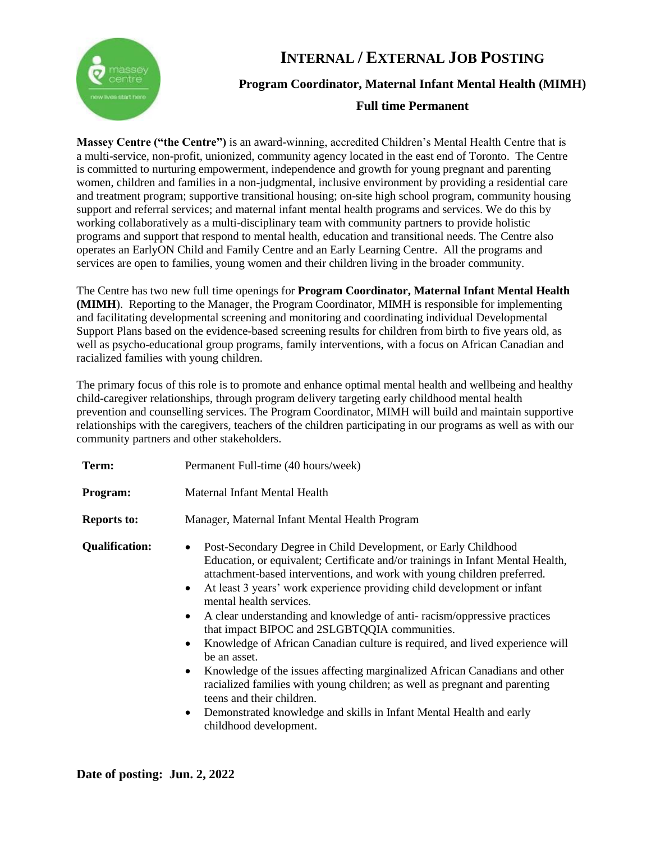

# **INTERNAL / EXTERNAL JOB POSTING Program Coordinator, Maternal Infant Mental Health (MIMH)**

#### **Full time Permanent**

**Massey Centre ("the Centre")** is an award-winning, accredited Children's Mental Health Centre that is a multi-service, non-profit, unionized, community agency located in the east end of Toronto. The Centre is committed to nurturing empowerment, independence and growth for young pregnant and parenting women, children and families in a non-judgmental, inclusive environment by providing a residential care and treatment program; supportive transitional housing; on-site high school program, community housing support and referral services; and maternal infant mental health programs and services. We do this by working collaboratively as a multi-disciplinary team with community partners to provide holistic programs and support that respond to mental health, education and transitional needs. The Centre also operates an EarlyON Child and Family Centre and an Early Learning Centre. All the programs and services are open to families, young women and their children living in the broader community.

The Centre has two new full time openings for **Program Coordinator, Maternal Infant Mental Health (MIMH**). Reporting to the Manager, the Program Coordinator, MIMH is responsible for implementing and facilitating developmental screening and monitoring and coordinating individual Developmental Support Plans based on the evidence-based screening results for children from birth to five years old, as well as psycho-educational group programs, family interventions, with a focus on African Canadian and racialized families with young children.

The primary focus of this role is to promote and enhance optimal mental health and wellbeing and healthy child-caregiver relationships, through program delivery targeting early childhood mental health prevention and counselling services. The Program Coordinator, MIMH will build and maintain supportive relationships with the caregivers, teachers of the children participating in our programs as well as with our community partners and other stakeholders.

| Term:                 | Permanent Full-time (40 hours/week)                                                                                                                                                                                                                                                                                                                                                                                                                                                                                                                                                                                                                                                                                                                                                                                                                                                                                                    |
|-----------------------|----------------------------------------------------------------------------------------------------------------------------------------------------------------------------------------------------------------------------------------------------------------------------------------------------------------------------------------------------------------------------------------------------------------------------------------------------------------------------------------------------------------------------------------------------------------------------------------------------------------------------------------------------------------------------------------------------------------------------------------------------------------------------------------------------------------------------------------------------------------------------------------------------------------------------------------|
| Program:              | Maternal Infant Mental Health                                                                                                                                                                                                                                                                                                                                                                                                                                                                                                                                                                                                                                                                                                                                                                                                                                                                                                          |
| <b>Reports to:</b>    | Manager, Maternal Infant Mental Health Program                                                                                                                                                                                                                                                                                                                                                                                                                                                                                                                                                                                                                                                                                                                                                                                                                                                                                         |
| <b>Qualification:</b> | Post-Secondary Degree in Child Development, or Early Childhood<br>$\bullet$<br>Education, or equivalent; Certificate and/or trainings in Infant Mental Health,<br>attachment-based interventions, and work with young children preferred.<br>At least 3 years' work experience providing child development or infant<br>$\bullet$<br>mental health services.<br>A clear understanding and knowledge of anti-racism/oppressive practices<br>$\bullet$<br>that impact BIPOC and 2SLGBTQQIA communities.<br>Knowledge of African Canadian culture is required, and lived experience will<br>$\bullet$<br>be an asset.<br>Knowledge of the issues affecting marginalized African Canadians and other<br>$\bullet$<br>racialized families with young children; as well as pregnant and parenting<br>teens and their children.<br>Demonstrated knowledge and skills in Infant Mental Health and early<br>$\bullet$<br>childhood development. |